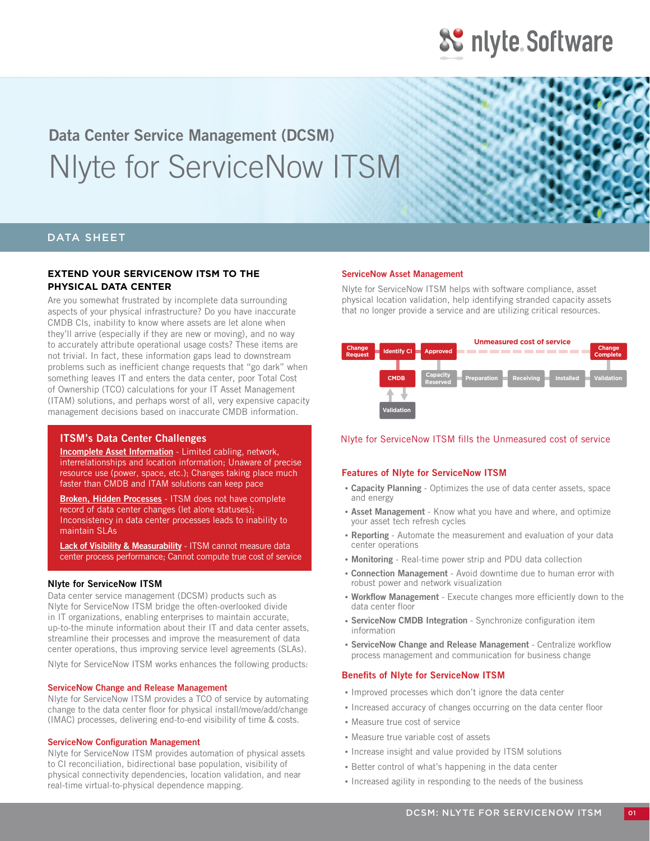## **Data Center Service Management (DCSM)** Nlyte for ServiceNow ITSM

#### DATA SHEET

#### **EXTEND YOUR SERVICENOW ITSM TO THE PHYSICAL DATA CENTER**

Are you somewhat frustrated by incomplete data surrounding aspects of your physical infrastructure? Do you have inaccurate CMDB CIs, inability to know where assets are let alone when they'll arrive (especially if they are new or moving), and no way to accurately attribute operational usage costs? These items are not trivial. In fact, these information gaps lead to downstream problems such as inefficient change requests that "go dark" when something leaves IT and enters the data center, poor Total Cost of Ownership (TCO) calculations for your IT Asset Management (ITAM) solutions, and perhaps worst of all, very expensive capacity management decisions based on inaccurate CMDB information.

#### **ITSM's Data Center Challenges**

**Incomplete Asset Information** - Limited cabling, network, interrelationships and location information; Unaware of precise resource use (power, space, etc.); Changes taking place much faster than CMDB and ITAM solutions can keep pace

**Broken, Hidden Processes** - ITSM does not have complete record of data center changes (let alone statuses); Inconsistency in data center processes leads to inability to maintain SLAs

**Lack of Visibility & Measurability** - ITSM cannot measure data center process performance; Cannot compute true cost of service

#### **Nlyte for ServiceNow ITSM**

Data center service management (DCSM) products such as Nlyte for ServiceNow ITSM bridge the often-overlooked divide in IT organizations, enabling enterprises to maintain accurate, up-to-the minute information about their IT and data center assets, streamline their processes and improve the measurement of data center operations, thus improving service level agreements (SLAs).

Nlyte for ServiceNow ITSM works enhances the following products:

#### **ServiceNow Change and Release Management**

Nlyte for ServiceNow ITSM provides a TCO of service by automating change to the data center floor for physical install/move/add/change (IMAC) processes, delivering end-to-end visibility of time & costs.

#### **ServiceNow Configuration Management**

Nlyte for ServiceNow ITSM provides automation of physical assets to CI reconciliation, bidirectional base population, visibility of physical connectivity dependencies, location validation, and near real-time virtual-to-physical dependence mapping.

#### **ServiceNow Asset Management**

Nlyte for ServiceNow ITSM helps with software compliance, asset physical location validation, help identifying stranded capacity assets that no longer provide a service and are utilizing critical resources.



#### Nlyte for ServiceNow ITSM fills the Unmeasured cost of service

#### **Features of Nlyte for ServiceNow ITSM**

- **Capacity Planning** Optimizes the use of data center assets, space and energy
- **Asset Management** Know what you have and where, and optimize your asset tech refresh cycles
- **Reporting**  Automate the measurement and evaluation of your data center operations
- **Monitoring**  Real-time power strip and PDU data collection
- **Connection Management**  Avoid downtime due to human error with robust power and network visualization
- **Workflow Management** Execute changes more efficiently down to the data center floor
- **ServiceNow CMDB Integration** Synchronize configuration item information
- **ServiceNow Change and Release Management** Centralize workflow process management and communication for business change

#### **Benefits of Nlyte for ServiceNow ITSM**

- Improved processes which don't ignore the data center
- Increased accuracy of changes occurring on the data center floor
- Measure true cost of service
- Measure true variable cost of assets
- Increase insight and value provided by ITSM solutions
- Better control of what's happening in the data center
- Increased agility in responding to the needs of the business